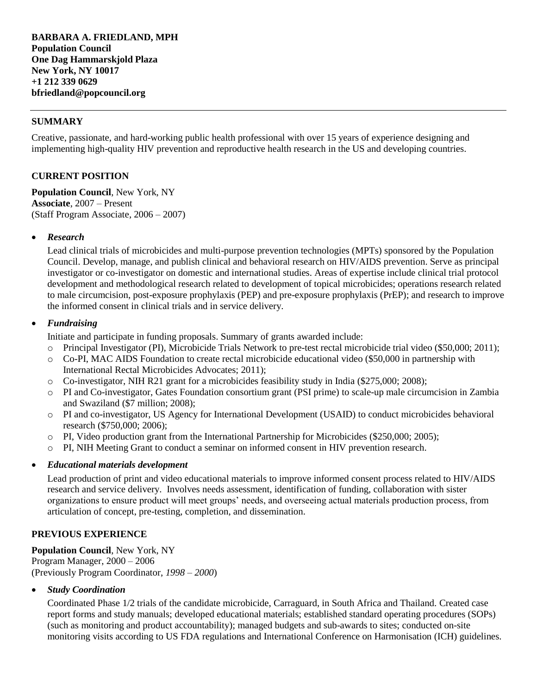### **SUMMARY**

Creative, passionate, and hard-working public health professional with over 15 years of experience designing and implementing high-quality HIV prevention and reproductive health research in the US and developing countries.

### **CURRENT POSITION**

**Population Council**, New York, NY **Associate**, 2007 – Present (Staff Program Associate, 2006 – 2007)

#### *Research*

Lead clinical trials of microbicides and multi-purpose prevention technologies (MPTs) sponsored by the Population Council. Develop, manage, and publish clinical and behavioral research on HIV/AIDS prevention. Serve as principal investigator or co-investigator on domestic and international studies. Areas of expertise include clinical trial protocol development and methodological research related to development of topical microbicides; operations research related to male circumcision, post-exposure prophylaxis (PEP) and pre-exposure prophylaxis (PrEP); and research to improve the informed consent in clinical trials and in service delivery.

#### *Fundraising*

Initiate and participate in funding proposals. Summary of grants awarded include:

- o Principal Investigator (PI), Microbicide Trials Network to pre-test rectal microbicide trial video (\$50,000; 2011);
- o Co-PI, MAC AIDS Foundation to create rectal microbicide educational video (\$50,000 in partnership with International Rectal Microbicides Advocates; 2011);
- o Co-investigator, NIH R21 grant for a microbicides feasibility study in India (\$275,000; 2008);
- o PI and Co-investigator, Gates Foundation consortium grant (PSI prime) to scale-up male circumcision in Zambia and Swaziland (\$7 million; 2008);
- o PI and co-investigator, US Agency for International Development (USAID) to conduct microbicides behavioral research (\$750,000; 2006);
- $\circ$  PI, Video production grant from the International Partnership for Microbicides (\$250,000; 2005);
- o PI, NIH Meeting Grant to conduct a seminar on informed consent in HIV prevention research.

#### *Educational materials development*

Lead production of print and video educational materials to improve informed consent process related to HIV/AIDS research and service delivery. Involves needs assessment, identification of funding, collaboration with sister organizations to ensure product will meet groups' needs, and overseeing actual materials production process, from articulation of concept, pre-testing, completion, and dissemination.

### **PREVIOUS EXPERIENCE**

**Population Council**, New York, NY Program Manager, 2000 – 2006 (Previously Program Coordinator, *1998* – *2000*)

#### *Study Coordination*

Coordinated Phase 1/2 trials of the candidate microbicide, Carraguard, in South Africa and Thailand. Created case report forms and study manuals; developed educational materials; established standard operating procedures (SOPs) (such as monitoring and product accountability); managed budgets and sub-awards to sites; conducted on-site monitoring visits according to US FDA regulations and International Conference on Harmonisation (ICH) guidelines.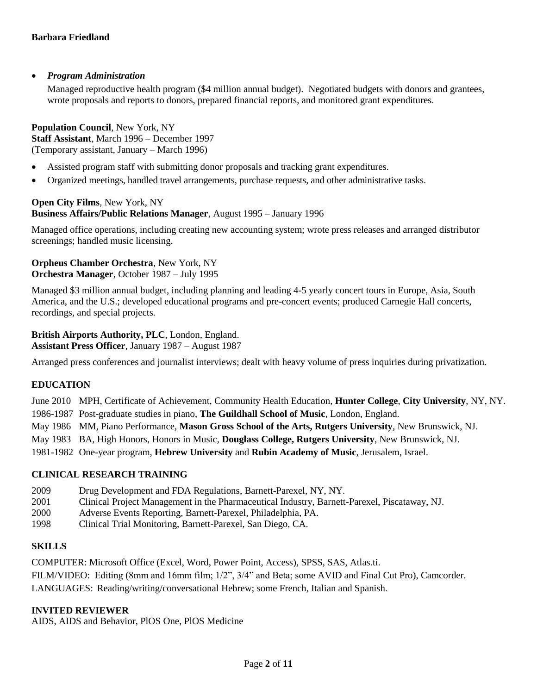## *Program Administration*

Managed reproductive health program (\$4 million annual budget). Negotiated budgets with donors and grantees, wrote proposals and reports to donors, prepared financial reports, and monitored grant expenditures.

**Population Council**, New York, NY **Staff Assistant**, March 1996 – December 1997 (Temporary assistant, January – March 1996)

- Assisted program staff with submitting donor proposals and tracking grant expenditures.
- Organized meetings, handled travel arrangements, purchase requests, and other administrative tasks.

**Open City Films**, New York, NY **Business Affairs/Public Relations Manager**, August 1995 – January 1996

Managed office operations, including creating new accounting system; wrote press releases and arranged distributor screenings; handled music licensing.

### **Orpheus Chamber Orchestra**, New York, NY **Orchestra Manager**, October 1987 – July 1995

Managed \$3 million annual budget, including planning and leading 4-5 yearly concert tours in Europe, Asia, South America, and the U.S.; developed educational programs and pre-concert events; produced Carnegie Hall concerts, recordings, and special projects.

**British Airports Authority, PLC**, London, England. **Assistant Press Officer**, January 1987 – August 1987

Arranged press conferences and journalist interviews; dealt with heavy volume of press inquiries during privatization.

# **EDUCATION**

June 2010 MPH, Certificate of Achievement, Community Health Education, **Hunter College**, **City University**, NY, NY. 1986-1987 Post-graduate studies in piano, **The Guildhall School of Music**, London, England.

- May 1986 MM, Piano Performance, **Mason Gross School of the Arts, Rutgers University**, New Brunswick, NJ.
- May 1983 BA, High Honors, Honors in Music, **Douglass College, Rutgers University**, New Brunswick, NJ.
- 1981-1982 One-year program, **Hebrew University** and **Rubin Academy of Music**, Jerusalem, Israel.

### **CLINICAL RESEARCH TRAINING**

- 2009 Drug Development and FDA Regulations, Barnett-Parexel, NY, NY.
- 2001 Clinical Project Management in the Pharmaceutical Industry, Barnett-Parexel, Piscataway, NJ.
- 2000 Adverse Events Reporting, Barnett-Parexel, Philadelphia, PA.
- 1998 Clinical Trial Monitoring, Barnett-Parexel, San Diego, CA.

### **SKILLS**

COMPUTER: Microsoft Office (Excel, Word, Power Point, Access), SPSS, SAS, Atlas.ti. FILM/VIDEO: Editing (8mm and 16mm film; 1/2", 3/4" and Beta; some AVID and Final Cut Pro), Camcorder. LANGUAGES: Reading/writing/conversational Hebrew; some French, Italian and Spanish.

### **INVITED REVIEWER**

AIDS, AIDS and Behavior, PlOS One, PlOS Medicine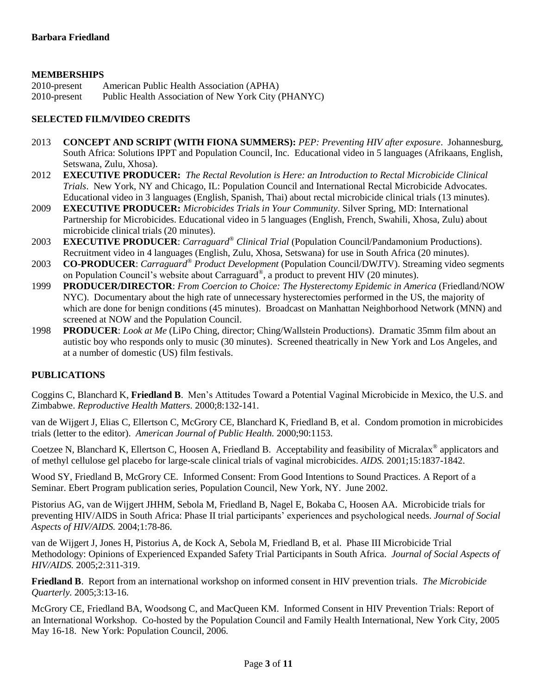## **MEMBERSHIPS**

| 2010-present | American Public Health Association (APHA)           |
|--------------|-----------------------------------------------------|
| 2010-present | Public Health Association of New York City (PHANYC) |

## **SELECTED FILM/VIDEO CREDITS**

- 2013 **CONCEPT AND SCRIPT (WITH FIONA SUMMERS):** *PEP: Preventing HIV after exposure*. Johannesburg, South Africa: Solutions IPPT and Population Council, Inc. Educational video in 5 languages (Afrikaans, English, Setswana, Zulu, Xhosa).
- 2012 **EXECUTIVE PRODUCER:** *The Rectal Revolution is Here: an Introduction to Rectal Microbicide Clinical Trials*. New York, NY and Chicago, IL: Population Council and International Rectal Microbicide Advocates. Educational video in 3 languages (English, Spanish, Thai) about rectal microbicide clinical trials (13 minutes).
- 2009 **EXECUTIVE PRODUCER:** *Microbicides Trials in Your Community*. Silver Spring, MD: International Partnership for Microbicides. Educational video in 5 languages (English, French, Swahili, Xhosa, Zulu) about microbicide clinical trials (20 minutes).
- 2003 **EXECUTIVE PRODUCER**: *Carraguard® Clinical Trial* (Population Council/Pandamonium Productions). Recruitment video in 4 languages (English, Zulu, Xhosa, Setswana) for use in South Africa (20 minutes).
- 2003 **CO-PRODUCER**: *Carraguard® Product Development* (Population Council/DWJTV). Streaming video segments on Population Council's website about Carraguard® , a product to prevent HIV (20 minutes).
- 1999 **PRODUCER/DIRECTOR**: *From Coercion to Choice: The Hysterectomy Epidemic in America* (Friedland/NOW NYC). Documentary about the high rate of unnecessary hysterectomies performed in the US, the majority of which are done for benign conditions (45 minutes). Broadcast on Manhattan Neighborhood Network (MNN) and screened at NOW and the Population Council.
- 1998 **PRODUCER**: *Look at Me* (LiPo Ching, director; Ching/Wallstein Productions). Dramatic 35mm film about an autistic boy who responds only to music (30 minutes). Screened theatrically in New York and Los Angeles, and at a number of domestic (US) film festivals.

### **PUBLICATIONS**

Coggins C, Blanchard K, **Friedland B**. Men's Attitudes Toward a Potential Vaginal Microbicide in Mexico, the U.S. and Zimbabwe. *Reproductive Health Matters.* 2000;8:132-141.

van de Wijgert J, Elias C, Ellertson C, McGrory CE, Blanchard K, Friedland B, et al. Condom promotion in microbicides trials (letter to the editor). *American Journal of Public Health.* 2000;90:1153.

Coetzee N, Blanchard K, Ellertson C, Hoosen A, Friedland B. Acceptability and feasibility of Micralax*®* applicators and of methyl cellulose gel placebo for large-scale clinical trials of vaginal microbicides. *AIDS.* 2001;15:1837-1842.

Wood SY, Friedland B, McGrory CE. Informed Consent: From Good Intentions to Sound Practices. A Report of a Seminar. Ebert Program publication series, Population Council, New York, NY. June 2002.

Pistorius AG, van de Wijgert JHHM, Sebola M, Friedland B, Nagel E, Bokaba C, Hoosen AA. Microbicide trials for preventing HIV/AIDS in South Africa: Phase II trial participants' experiences and psychological needs. *Journal of Social Aspects of HIV/AIDS.* 2004;1:78-86.

van de Wijgert J, Jones H, Pistorius A, de Kock A, Sebola M, Friedland B, et al. Phase III Microbicide Trial Methodology: Opinions of Experienced Expanded Safety Trial Participants in South Africa. *Journal of Social Aspects of HIV/AIDS.* 2005;2:311-319.

**Friedland B**. Report from an international workshop on informed consent in HIV prevention trials. *The Microbicide Quarterly.* 2005;3:13-16.

McGrory CE, Friedland BA, Woodsong C, and MacQueen KM. Informed Consent in HIV Prevention Trials: Report of an International Workshop*.* Co-hosted by the Population Council and Family Health International, New York City, 2005 May 16-18. New York: Population Council, 2006.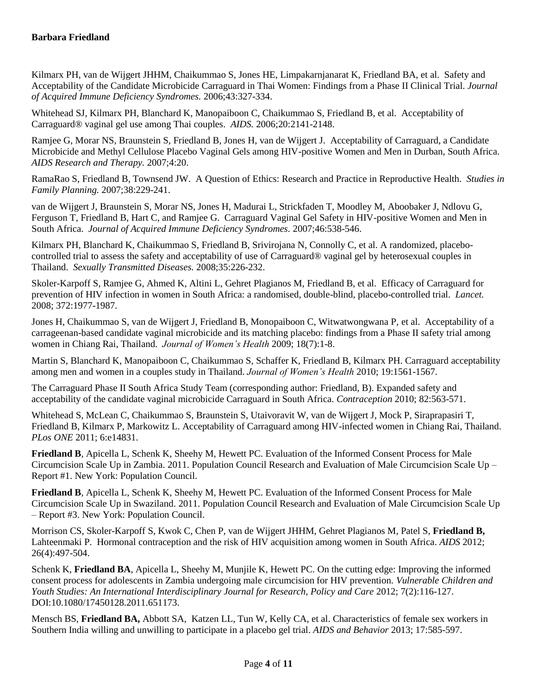Kilmarx PH, van de Wijgert JHHM, Chaikummao S, Jones HE, Limpakarnjanarat K, Friedland BA, et al. Safety and Acceptability of the Candidate Microbicide Carraguard in Thai Women: Findings from a Phase II Clinical Trial. *Journal of Acquired Immune Deficiency Syndromes.* 2006;43:327-334.

Whitehead SJ, Kilmarx PH, Blanchard K, Manopaiboon C, Chaikummao S, Friedland B, et al. Acceptability of Carraguard® vaginal gel use among Thai couples. *AIDS.* 2006;20:2141-2148.

Ramjee G, Morar NS, Braunstein S, Friedland B, Jones H, van de Wijgert J. Acceptability of Carraguard, a Candidate Microbicide and Methyl Cellulose Placebo Vaginal Gels among HIV-positive Women and Men in Durban, South Africa. *AIDS Research and Therapy.* 2007;4:20.

RamaRao S, Friedland B, Townsend JW. A Question of Ethics: Research and Practice in Reproductive Health. *Studies in Family Planning.* 2007;38:229-241.

van de Wijgert J, Braunstein S, Morar NS, Jones H, Madurai L, Strickfaden T, Moodley M, Aboobaker J, Ndlovu G, Ferguson T, Friedland B, Hart C, and Ramjee G. Carraguard Vaginal Gel Safety in HIV-positive Women and Men in South Africa. *Journal of Acquired Immune Deficiency Syndromes.* 2007;46:538-546.

Kilmarx PH, Blanchard K, Chaikummao S, Friedland B, Srivirojana N, Connolly C, et al. A randomized, placebocontrolled trial to assess the safety and acceptability of use of Carraguard® vaginal gel by heterosexual couples in Thailand. *Sexually Transmitted Diseases.* 2008;35:226-232.

Skoler-Karpoff S, Ramjee G, Ahmed K, Altini L, Gehret Plagianos M, Friedland B, et al. Efficacy of Carraguard for prevention of HIV infection in women in South Africa: a randomised, double-blind, placebo-controlled trial. *Lancet.* 2008; 372:1977-1987.

Jones H, Chaikummao S, van de Wijgert J, Friedland B, Monopaiboon C, Witwatwongwana P, et al. Acceptability of a carrageenan-based candidate vaginal microbicide and its matching placebo: findings from a Phase II safety trial among women in Chiang Rai, Thailand. *Journal of Women's Health* 2009; 18(7):1-8.

Martin S, Blanchard K, Manopaiboon C, Chaikummao S, Schaffer K, Friedland B, Kilmarx PH. Carraguard acceptability among men and women in a couples study in Thailand. *Journal of Women's Health* 2010; 19:1561-1567.

The Carraguard Phase II South Africa Study Team (corresponding author: Friedland, B). Expanded safety and acceptability of the candidate vaginal microbicide Carraguard in South Africa. *Contraception* 2010; 82:563-571.

Whitehead S, McLean C, Chaikummao S, Braunstein S, Utaivoravit W, van de Wijgert J, Mock P, Siraprapasiri T, Friedland B, Kilmarx P, Markowitz L. Acceptability of Carraguard among HIV-infected women in Chiang Rai, Thailand. *PLos ONE* 2011; 6:e14831.

**Friedland B**, Apicella L, Schenk K, Sheehy M, Hewett PC. Evaluation of the Informed Consent Process for Male Circumcision Scale Up in Zambia. 2011. Population Council Research and Evaluation of Male Circumcision Scale Up – Report #1. New York: Population Council.

**Friedland B**, Apicella L, Schenk K, Sheehy M, Hewett PC. Evaluation of the Informed Consent Process for Male Circumcision Scale Up in Swaziland. 2011. Population Council Research and Evaluation of Male Circumcision Scale Up – Report #3. New York: Population Council.

Morrison CS, Skoler-Karpoff S, Kwok C, Chen P, van de Wijgert JHHM, Gehret Plagianos M, Patel S, **Friedland B,** Lahteenmaki P. Hormonal contraception and the risk of HIV acquisition among women in South Africa. *AIDS* 2012; 26(4):497-504.

Schenk K, **Friedland BA**, Apicella L, Sheehy M, Munjile K, Hewett PC. On the cutting edge: Improving the informed consent process for adolescents in Zambia undergoing male circumcision for HIV prevention. *Vulnerable Children and Youth Studies: An International Interdisciplinary Journal for Research, Policy and Care* 2012; 7(2):116-127. DOI:10.1080/17450128.2011.651173.

Mensch BS, **Friedland BA,** Abbott SA, Katzen LL, Tun W, Kelly CA, et al. Characteristics of female sex workers in Southern India willing and unwilling to participate in a placebo gel trial. *AIDS and Behavior* 2013; 17:585-597.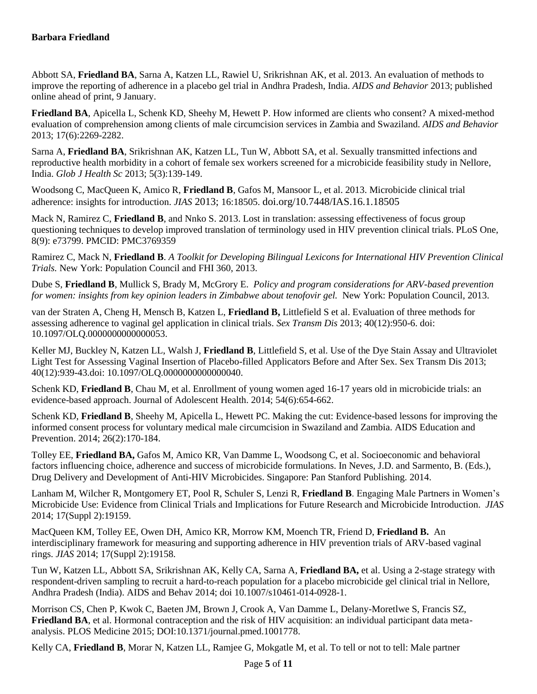Abbott SA, **Friedland BA**, Sarna A, Katzen LL, Rawiel U, Srikrishnan AK, et al. 2013. An evaluation of methods to improve the reporting of adherence in a placebo gel trial in Andhra Pradesh, India. *AIDS and Behavior* 2013; published online ahead of print, 9 January.

**Friedland BA**, Apicella L, Schenk KD, Sheehy M, Hewett P. How informed are clients who consent? A mixed-method evaluation of comprehension among clients of male circumcision services in Zambia and Swaziland. *AIDS and Behavior* 2013; 17(6):2269-2282.

Sarna A, **Friedland BA**, Srikrishnan AK, Katzen LL, Tun W, Abbott SA, et al. Sexually transmitted infections and reproductive health morbidity in a cohort of female sex workers screened for a microbicide feasibility study in Nellore, India. *Glob J Health Sc* 2013; 5(3):139-149.

Woodsong C, MacQueen K, Amico R, **Friedland B**, Gafos M, Mansoor L, et al. 2013. Microbicide clinical trial adherence: insights for introduction. *JIAS* 2013; 16:18505. doi.org/10.7448/IAS.16.1.18505

Mack N, Ramirez C, **Friedland B**, and Nnko S. 2013. Lost in translation: assessing effectiveness of focus group questioning techniques to develop improved translation of terminology used in HIV prevention clinical trials. PLoS One, 8(9): e73799. PMCID: PMC3769359

Ramirez C, Mack N, **Friedland B**. *A Toolkit for Developing Bilingual Lexicons for International HIV Prevention Clinical Trials.* New York: Population Council and FHI 360, 2013.

Dube S, **Friedland B**, Mullick S, Brady M, McGrory E. *Policy and program considerations for ARV-based prevention for women: insights from key opinion leaders in Zimbabwe about tenofovir gel.* New York: Population Council, 2013.

van der Straten A, Cheng H, Mensch B, Katzen L, **Friedland B,** Littlefield S et al. Evaluation of three methods for assessing adherence to vaginal gel application in clinical trials. *Sex Transm Dis* 2013; 40(12):950-6. doi: 10.1097/OLQ.0000000000000053.

Keller MJ, Buckley N, Katzen LL, Walsh J, **Friedland B**, Littlefield S, et al. Use of the Dye Stain Assay and Ultraviolet Light Test for Assessing Vaginal Insertion of Placebo-filled Applicators Before and After Sex. Sex Transm Dis 2013; 40(12):939-43.doi: 10.1097/OLQ.0000000000000040.

Schenk KD, **Friedland B**, Chau M, et al. Enrollment of young women aged 16-17 years old in microbicide trials: an evidence-based approach. Journal of Adolescent Health. 2014; 54(6):654-662.

Schenk KD, **Friedland B**, Sheehy M, Apicella L, Hewett PC. Making the cut: Evidence-based lessons for improving the informed consent process for voluntary medical male circumcision in Swaziland and Zambia. AIDS Education and Prevention. 2014; 26(2):170-184.

Tolley EE, **Friedland BA,** Gafos M, Amico KR, Van Damme L, Woodsong C, et al. Socioeconomic and behavioral factors influencing choice, adherence and success of microbicide formulations. In Neves, J.D. and Sarmento, B. (Eds.), Drug Delivery and Development of Anti-HIV Microbicides. Singapore: Pan Stanford Publishing. 2014.

Lanham M, Wilcher R, Montgomery ET, Pool R, Schuler S, Lenzi R, **Friedland B**. Engaging Male Partners in Women's Microbicide Use: Evidence from Clinical Trials and Implications for Future Research and Microbicide Introduction. *JIAS*  2014; 17(Suppl 2):19159.

MacQueen KM, Tolley EE, Owen DH, Amico KR, Morrow KM, Moench TR, Friend D, **Friedland B.** An interdisciplinary framework for measuring and supporting adherence in HIV prevention trials of ARV-based vaginal rings. *JIAS* 2014; 17(Suppl 2):19158.

Tun W, Katzen LL, Abbott SA, Srikrishnan AK, Kelly CA, Sarna A, **Friedland BA,** et al. Using a 2-stage strategy with respondent-driven sampling to recruit a hard-to-reach population for a placebo microbicide gel clinical trial in Nellore, Andhra Pradesh (India). AIDS and Behav 2014; doi 10.1007/s10461-014-0928-1.

Morrison CS, Chen P, Kwok C, Baeten JM, Brown J, Crook A, Van Damme L, Delany-Moretlwe S, Francis SZ, **Friedland BA**, et al. Hormonal contraception and the risk of HIV acquisition: an individual participant data metaanalysis. PLOS Medicine 2015; DOI:10.1371/journal.pmed.1001778.

Kelly CA, **Friedland B**, Morar N, Katzen LL, Ramjee G, Mokgatle M, et al. To tell or not to tell: Male partner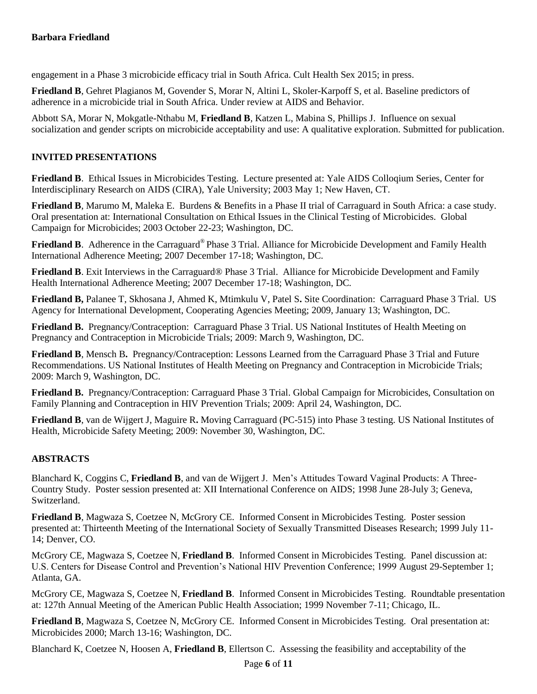engagement in a Phase 3 microbicide efficacy trial in South Africa. Cult Health Sex 2015; in press.

**Friedland B**, Gehret Plagianos M, Govender S, Morar N, Altini L, Skoler-Karpoff S, et al. Baseline predictors of adherence in a microbicide trial in South Africa. Under review at AIDS and Behavior.

Abbott SA, Morar N, Mokgatle-Nthabu M, **Friedland B**, Katzen L, Mabina S, Phillips J. Influence on sexual socialization and gender scripts on microbicide acceptability and use: A qualitative exploration. Submitted for publication.

# **INVITED PRESENTATIONS**

**Friedland B**. Ethical Issues in Microbicides Testing. Lecture presented at: Yale AIDS Colloqium Series, Center for Interdisciplinary Research on AIDS (CIRA), Yale University; 2003 May 1; New Haven, CT.

**Friedland B**, Marumo M, Maleka E. Burdens & Benefits in a Phase II trial of Carraguard in South Africa: a case study. Oral presentation at: International Consultation on Ethical Issues in the Clinical Testing of Microbicides. Global Campaign for Microbicides; 2003 October 22-23; Washington, DC.

**Friedland B**. Adherence in the Carraguard® Phase 3 Trial. Alliance for Microbicide Development and Family Health International Adherence Meeting; 2007 December 17-18; Washington, DC.

**Friedland B**. Exit Interviews in the Carraguard® Phase 3 Trial. Alliance for Microbicide Development and Family Health International Adherence Meeting; 2007 December 17-18; Washington, DC.

**Friedland B,** Palanee T, Skhosana J, Ahmed K, Mtimkulu V, Patel S**.** Site Coordination: Carraguard Phase 3 Trial. US Agency for International Development, Cooperating Agencies Meeting; 2009, January 13; Washington, DC.

**Friedland B.** Pregnancy/Contraception: Carraguard Phase 3 Trial. US National Institutes of Health Meeting on Pregnancy and Contraception in Microbicide Trials; 2009: March 9, Washington, DC.

**Friedland B**, Mensch B**.** Pregnancy/Contraception: Lessons Learned from the Carraguard Phase 3 Trial and Future Recommendations. US National Institutes of Health Meeting on Pregnancy and Contraception in Microbicide Trials; 2009: March 9, Washington, DC.

**Friedland B.** Pregnancy/Contraception: Carraguard Phase 3 Trial. Global Campaign for Microbicides, Consultation on Family Planning and Contraception in HIV Prevention Trials; 2009: April 24, Washington, DC.

**Friedland B**, van de Wijgert J, Maguire R**.** Moving Carraguard (PC-515) into Phase 3 testing. US National Institutes of Health, Microbicide Safety Meeting; 2009: November 30, Washington, DC.

# **ABSTRACTS**

Blanchard K, Coggins C, **Friedland B**, and van de Wijgert J. Men's Attitudes Toward Vaginal Products: A Three-Country Study. Poster session presented at: XII International Conference on AIDS; 1998 June 28-July 3; Geneva, Switzerland.

**Friedland B**, Magwaza S, Coetzee N, McGrory CE. Informed Consent in Microbicides Testing. Poster session presented at: Thirteenth Meeting of the International Society of Sexually Transmitted Diseases Research; 1999 July 11- 14; Denver, CO.

McGrory CE, Magwaza S, Coetzee N, **Friedland B**. Informed Consent in Microbicides Testing. Panel discussion at: U.S. Centers for Disease Control and Prevention's National HIV Prevention Conference; 1999 August 29-September 1; Atlanta, GA.

McGrory CE, Magwaza S, Coetzee N, **Friedland B**. Informed Consent in Microbicides Testing. Roundtable presentation at: 127th Annual Meeting of the American Public Health Association; 1999 November 7-11; Chicago, IL.

**Friedland B**, Magwaza S, Coetzee N, McGrory CE. Informed Consent in Microbicides Testing. Oral presentation at: Microbicides 2000; March 13-16; Washington, DC.

Blanchard K, Coetzee N, Hoosen A, **Friedland B**, Ellertson C. Assessing the feasibility and acceptability of the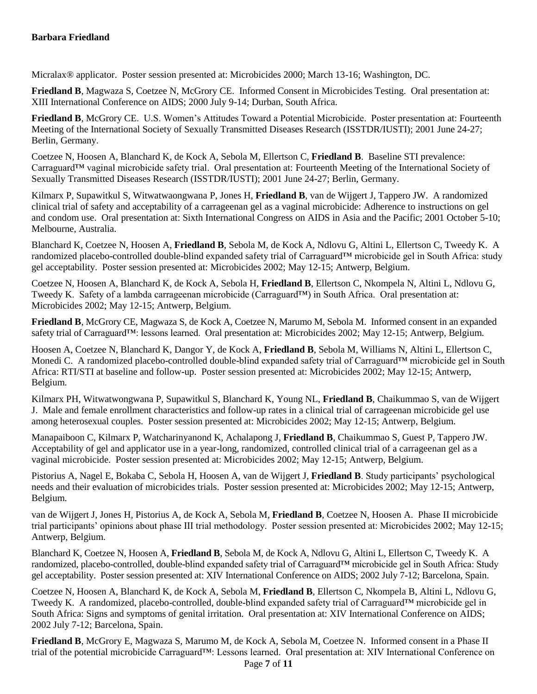Micralax® applicator. Poster session presented at: Microbicides 2000; March 13-16; Washington, DC.

**Friedland B**, Magwaza S, Coetzee N, McGrory CE. Informed Consent in Microbicides Testing. Oral presentation at: XIII International Conference on AIDS; 2000 July 9-14; Durban, South Africa.

**Friedland B**, McGrory CE. U.S. Women's Attitudes Toward a Potential Microbicide. Poster presentation at: Fourteenth Meeting of the International Society of Sexually Transmitted Diseases Research (ISSTDR/IUSTI); 2001 June 24-27; Berlin, Germany.

Coetzee N, Hoosen A, Blanchard K, de Kock A, Sebola M, Ellertson C, **Friedland B**. Baseline STI prevalence: Carraguard™ vaginal microbicide safety trial. Oral presentation at: Fourteenth Meeting of the International Society of Sexually Transmitted Diseases Research (ISSTDR/IUSTI); 2001 June 24-27; Berlin, Germany.

Kilmarx P, Supawitkul S, Witwatwaongwana P, Jones H, **Friedland B**, van de Wijgert J, Tappero JW. A randomized clinical trial of safety and acceptability of a carrageenan gel as a vaginal microbicide: Adherence to instructions on gel and condom use. Oral presentation at: Sixth International Congress on AIDS in Asia and the Pacific; 2001 October 5-10; Melbourne, Australia.

Blanchard K, Coetzee N, Hoosen A, **Friedland B**, Sebola M, de Kock A, Ndlovu G, Altini L, Ellertson C, Tweedy K. A randomized placebo-controlled double-blind expanded safety trial of Carraguard™ microbicide gel in South Africa: study gel acceptability. Poster session presented at: Microbicides 2002; May 12-15; Antwerp, Belgium.

Coetzee N, Hoosen A, Blanchard K, de Kock A, Sebola H, **Friedland B**, Ellertson C, Nkompela N, Altini L, Ndlovu G, Tweedy K. Safety of a lambda carrageenan microbicide (Carraguard™) in South Africa. Oral presentation at: Microbicides 2002; May 12-15; Antwerp, Belgium.

**Friedland B**, McGrory CE, Magwaza S, de Kock A, Coetzee N, Marumo M, Sebola M. Informed consent in an expanded safety trial of Carraguard™: lessons learned. Oral presentation at: Microbicides 2002; May 12-15; Antwerp, Belgium.

Hoosen A, Coetzee N, Blanchard K, Dangor Y, de Kock A, **Friedland B**, Sebola M, Williams N, Altini L, Ellertson C, Monedi C. A randomized placebo-controlled double-blind expanded safety trial of Carraguard™ microbicide gel in South Africa: RTI/STI at baseline and follow-up. Poster session presented at: Microbicides 2002; May 12-15; Antwerp, Belgium.

Kilmarx PH, Witwatwongwana P, Supawitkul S, Blanchard K, Young NL, **Friedland B**, Chaikummao S, van de Wijgert J. Male and female enrollment characteristics and follow-up rates in a clinical trial of carrageenan microbicide gel use among heterosexual couples. Poster session presented at: Microbicides 2002; May 12-15; Antwerp, Belgium.

Manapaiboon C, Kilmarx P, Watcharinyanond K, Achalapong J, **Friedland B**, Chaikummao S, Guest P, Tappero JW. Acceptability of gel and applicator use in a year-long, randomized, controlled clinical trial of a carrageenan gel as a vaginal microbicide. Poster session presented at: Microbicides 2002; May 12-15; Antwerp, Belgium.

Pistorius A, Nagel E, Bokaba C, Sebola H, Hoosen A, van de Wijgert J, **Friedland B**. Study participants' psychological needs and their evaluation of microbicides trials. Poster session presented at: Microbicides 2002; May 12-15; Antwerp, Belgium.

van de Wijgert J, Jones H, Pistorius A, de Kock A, Sebola M, **Friedland B**, Coetzee N, Hoosen A. Phase II microbicide trial participants' opinions about phase III trial methodology. Poster session presented at: Microbicides 2002; May 12-15; Antwerp, Belgium.

Blanchard K, Coetzee N, Hoosen A, **Friedland B**, Sebola M, de Kock A, Ndlovu G, Altini L, Ellertson C, Tweedy K. A randomized, placebo-controlled, double-blind expanded safety trial of Carraguard™ microbicide gel in South Africa: Study gel acceptability. Poster session presented at: XIV International Conference on AIDS; 2002 July 7-12; Barcelona, Spain.

Coetzee N, Hoosen A, Blanchard K, de Kock A, Sebola M, **Friedland B**, Ellertson C, Nkompela B, Altini L, Ndlovu G, Tweedy K. A randomized, placebo-controlled, double-blind expanded safety trial of Carraguard™ microbicide gel in South Africa: Signs and symptoms of genital irritation. Oral presentation at: XIV International Conference on AIDS; 2002 July 7-12; Barcelona, Spain.

**Friedland B**, McGrory E, Magwaza S, Marumo M, de Kock A, Sebola M, Coetzee N. Informed consent in a Phase II trial of the potential microbicide Carraguard™: Lessons learned. Oral presentation at: XIV International Conference on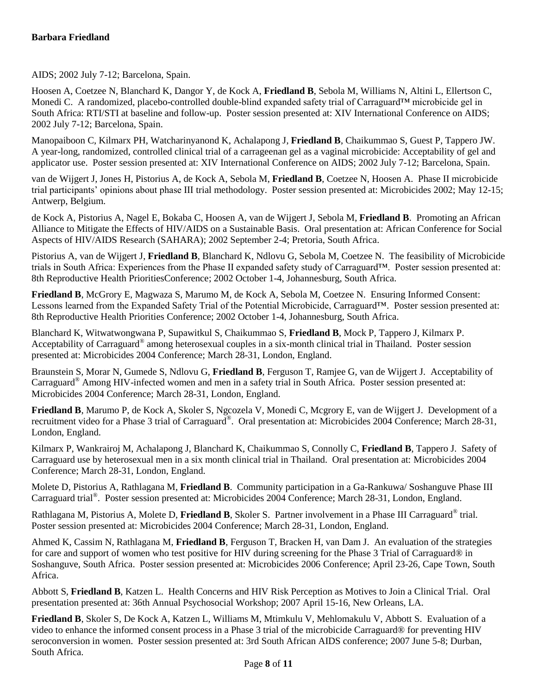AIDS; 2002 July 7-12; Barcelona, Spain.

Hoosen A, Coetzee N, Blanchard K, Dangor Y, de Kock A, **Friedland B**, Sebola M, Williams N, Altini L, Ellertson C, Monedi C. A randomized, placebo-controlled double-blind expanded safety trial of Carraguard™ microbicide gel in South Africa: RTI/STI at baseline and follow-up. Poster session presented at: XIV International Conference on AIDS; 2002 July 7-12; Barcelona, Spain.

Manopaiboon C, Kilmarx PH, Watcharinyanond K, Achalapong J, **Friedland B**, Chaikummao S, Guest P, Tappero JW. A year-long, randomized, controlled clinical trial of a carrageenan gel as a vaginal microbicide: Acceptability of gel and applicator use. Poster session presented at: XIV International Conference on AIDS; 2002 July 7-12; Barcelona, Spain.

van de Wijgert J, Jones H, Pistorius A, de Kock A, Sebola M, **Friedland B**, Coetzee N, Hoosen A. Phase II microbicide trial participants' opinions about phase III trial methodology. Poster session presented at: Microbicides 2002; May 12-15; Antwerp, Belgium.

de Kock A, Pistorius A, Nagel E, Bokaba C, Hoosen A, van de Wijgert J, Sebola M, **Friedland B**. Promoting an African Alliance to Mitigate the Effects of HIV/AIDS on a Sustainable Basis. Oral presentation at: African Conference for Social Aspects of HIV/AIDS Research (SAHARA); 2002 September 2-4; Pretoria, South Africa.

Pistorius A, van de Wijgert J, **Friedland B**, Blanchard K, Ndlovu G, Sebola M, Coetzee N. The feasibility of Microbicide trials in South Africa: Experiences from the Phase II expanded safety study of Carraguard™. Poster session presented at: 8th Reproductive Health PrioritiesConference; 2002 October 1-4, Johannesburg, South Africa.

**Friedland B**, McGrory E, Magwaza S, Marumo M, de Kock A, Sebola M, Coetzee N. Ensuring Informed Consent: Lessons learned from the Expanded Safety Trial of the Potential Microbicide, Carraguard™. Poster session presented at: 8th Reproductive Health Priorities Conference; 2002 October 1-4, Johannesburg, South Africa.

Blanchard K, Witwatwongwana P, Supawitkul S, Chaikummao S, **Friedland B**, Mock P, Tappero J, Kilmarx P. Acceptability of Carraguard<sup>®</sup> among heterosexual couples in a six-month clinical trial in Thailand. Poster session presented at: Microbicides 2004 Conference; March 28-31, London, England.

Braunstein S, Morar N, Gumede S, Ndlovu G, **Friedland B**, Ferguson T, Ramjee G, van de Wijgert J. Acceptability of Carraguard® Among HIV-infected women and men in a safety trial in South Africa. Poster session presented at: Microbicides 2004 Conference; March 28-31, London, England.

**Friedland B**, Marumo P, de Kock A, Skoler S, Ngcozela V, Monedi C, Mcgrory E, van de Wijgert J. Development of a recruitment video for a Phase 3 trial of Carraguard®. Oral presentation at: Microbicides 2004 Conference; March 28-31, London, England.

Kilmarx P, Wankrairoj M, Achalapong J, Blanchard K, Chaikummao S, Connolly C, **Friedland B**, Tappero J. Safety of Carraguard use by heterosexual men in a six month clinical trial in Thailand. Oral presentation at: Microbicides 2004 Conference; March 28-31, London, England.

Molete D, Pistorius A, Rathlagana M, **Friedland B**. Community participation in a Ga-Rankuwa/ Soshanguve Phase III Carraguard trial® . Poster session presented at: Microbicides 2004 Conference; March 28-31, London, England.

Rathlagana M, Pistorius A, Molete D, Friedland B, Skoler S. Partner involvement in a Phase III Carraguard® trial. Poster session presented at: Microbicides 2004 Conference; March 28-31, London, England.

Ahmed K, Cassim N, Rathlagana M, **Friedland B**, Ferguson T, Bracken H, van Dam J. An evaluation of the strategies for care and support of women who test positive for HIV during screening for the Phase 3 Trial of Carraguard® in Soshanguve, South Africa. Poster session presented at: Microbicides 2006 Conference; April 23-26, Cape Town, South Africa.

Abbott S, **Friedland B**, Katzen L. Health Concerns and HIV Risk Perception as Motives to Join a Clinical Trial. Oral presentation presented at: 36th Annual Psychosocial Workshop; 2007 April 15-16, New Orleans, LA.

**Friedland B**, Skoler S, De Kock A, Katzen L, Williams M, Mtimkulu V, Mehlomakulu V, Abbott S. Evaluation of a video to enhance the informed consent process in a Phase 3 trial of the microbicide Carraguard® for preventing HIV seroconversion in women. Poster session presented at: 3rd South African AIDS conference; 2007 June 5-8; Durban, South Africa.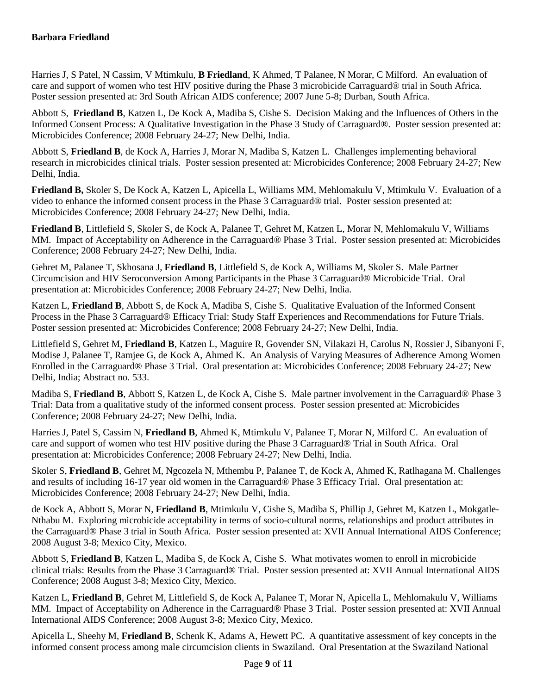Harries J, S Patel, N Cassim, V Mtimkulu, **B Friedland**, K Ahmed, T Palanee, N Morar, C Milford. An evaluation of care and support of women who test HIV positive during the Phase 3 microbicide Carraguard® trial in South Africa. Poster session presented at: 3rd South African AIDS conference; 2007 June 5-8; Durban, South Africa.

Abbott S, **Friedland B**, Katzen L, De Kock A, Madiba S, Cishe S. Decision Making and the Influences of Others in the Informed Consent Process: A Qualitative Investigation in the Phase 3 Study of Carraguard®. Poster session presented at: Microbicides Conference; 2008 February 24-27; New Delhi, India.

Abbott S, **Friedland B**, de Kock A, Harries J, Morar N, Madiba S, Katzen L. Challenges implementing behavioral research in microbicides clinical trials. Poster session presented at: Microbicides Conference; 2008 February 24-27; New Delhi, India.

**Friedland B,** Skoler S, De Kock A, Katzen L, Apicella L, Williams MM, Mehlomakulu V, Mtimkulu V. Evaluation of a video to enhance the informed consent process in the Phase 3 Carraguard® trial. Poster session presented at: Microbicides Conference; 2008 February 24-27; New Delhi, India.

**Friedland B**, Littlefield S, Skoler S, de Kock A, Palanee T, Gehret M, Katzen L, Morar N, Mehlomakulu V, Williams MM. Impact of Acceptability on Adherence in the Carraguard® Phase 3 Trial. Poster session presented at: Microbicides Conference; 2008 February 24-27; New Delhi, India.

Gehret M, Palanee T, Skhosana J, **Friedland B**, Littlefield S, de Kock A, Williams M, Skoler S. Male Partner Circumcision and HIV Seroconversion Among Participants in the Phase 3 Carraguard® Microbicide Trial. Oral presentation at: Microbicides Conference; 2008 February 24-27; New Delhi, India.

Katzen L, **Friedland B**, Abbott S, de Kock A, Madiba S, Cishe S. Qualitative Evaluation of the Informed Consent Process in the Phase 3 Carraguard® Efficacy Trial: Study Staff Experiences and Recommendations for Future Trials. Poster session presented at: Microbicides Conference; 2008 February 24-27; New Delhi, India.

Littlefield S, Gehret M, **Friedland B**, Katzen L, Maguire R, Govender SN, Vilakazi H, Carolus N, Rossier J, Sibanyoni F, Modise J, Palanee T, Ramjee G, de Kock A, Ahmed K. An Analysis of Varying Measures of Adherence Among Women Enrolled in the Carraguard® Phase 3 Trial. Oral presentation at: Microbicides Conference; 2008 February 24-27; New Delhi, India; Abstract no. 533.

Madiba S, **Friedland B**, Abbott S, Katzen L, de Kock A, Cishe S. Male partner involvement in the Carraguard® Phase 3 Trial: Data from a qualitative study of the informed consent process. Poster session presented at: Microbicides Conference; 2008 February 24-27; New Delhi, India.

Harries J, Patel S, Cassim N, **Friedland B**, Ahmed K, Mtimkulu V, Palanee T, Morar N, Milford C. An evaluation of care and support of women who test HIV positive during the Phase 3 Carraguard® Trial in South Africa. Oral presentation at: Microbicides Conference; 2008 February 24-27; New Delhi, India.

Skoler S, **Friedland B**, Gehret M, Ngcozela N, Mthembu P, Palanee T, de Kock A, Ahmed K, Ratlhagana M. Challenges and results of including 16-17 year old women in the Carraguard® Phase 3 Efficacy Trial. Oral presentation at: Microbicides Conference; 2008 February 24-27; New Delhi, India.

de Kock A, Abbott S, Morar N, **Friedland B**, Mtimkulu V, Cishe S, Madiba S, Phillip J, Gehret M, Katzen L, Mokgatle-Nthabu M. Exploring microbicide acceptability in terms of socio-cultural norms, relationships and product attributes in the Carraguard® Phase 3 trial in South Africa. Poster session presented at: XVII Annual International AIDS Conference; 2008 August 3-8; Mexico City, Mexico.

Abbott S, **Friedland B**, Katzen L, Madiba S, de Kock A, Cishe S. What motivates women to enroll in microbicide clinical trials: Results from the Phase 3 Carraguard® Trial. Poster session presented at: XVII Annual International AIDS Conference; 2008 August 3-8; Mexico City, Mexico.

Katzen L, **Friedland B**, Gehret M, Littlefield S, de Kock A, Palanee T, Morar N, Apicella L, Mehlomakulu V, Williams MM. Impact of Acceptability on Adherence in the Carraguard® Phase 3 Trial. Poster session presented at: XVII Annual International AIDS Conference; 2008 August 3-8; Mexico City, Mexico.

Apicella L, Sheehy M, **Friedland B**, Schenk K, Adams A, Hewett PC. A quantitative assessment of key concepts in the informed consent process among male circumcision clients in Swaziland. Oral Presentation at the Swaziland National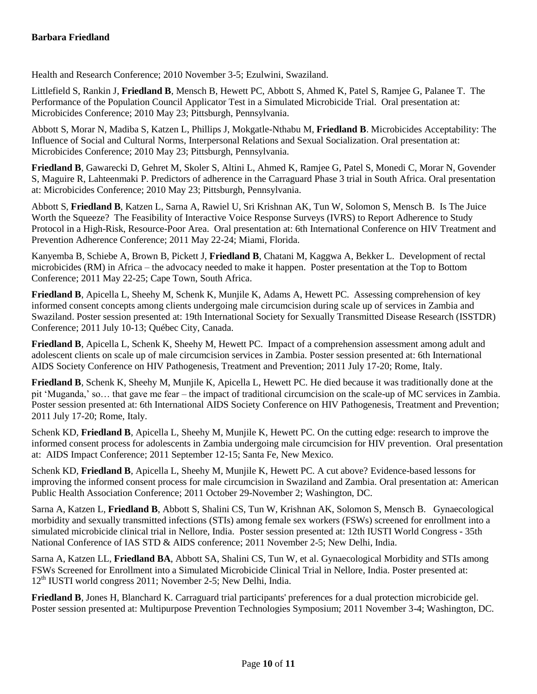Health and Research Conference; 2010 November 3-5; Ezulwini, Swaziland.

Littlefield S, Rankin J, **Friedland B**, Mensch B, Hewett PC, Abbott S, Ahmed K, Patel S, Ramjee G, Palanee T. The Performance of the Population Council Applicator Test in a Simulated Microbicide Trial. Oral presentation at: Microbicides Conference; 2010 May 23; Pittsburgh, Pennsylvania.

Abbott S, Morar N, Madiba S, Katzen L, Phillips J, Mokgatle-Nthabu M, **Friedland B**. Microbicides Acceptability: The Influence of Social and Cultural Norms, Interpersonal Relations and Sexual Socialization. Oral presentation at: Microbicides Conference; 2010 May 23; Pittsburgh, Pennsylvania.

**Friedland B**, Gawarecki D, Gehret M, Skoler S, Altini L, Ahmed K, Ramjee G, Patel S, Monedi C, Morar N, Govender S, Maguire R, Lahteenmaki P. Predictors of adherence in the Carraguard Phase 3 trial in South Africa. Oral presentation at: Microbicides Conference; 2010 May 23; Pittsburgh, Pennsylvania.

Abbott S, **Friedland B**, Katzen L, Sarna A, Rawiel U, Sri Krishnan AK, Tun W, Solomon S, Mensch B. Is The Juice Worth the Squeeze? The Feasibility of Interactive Voice Response Surveys (IVRS) to Report Adherence to Study Protocol in a High-Risk, Resource-Poor Area. Oral presentation at: 6th International Conference on HIV Treatment and Prevention Adherence Conference; 2011 May 22-24; Miami, Florida.

Kanyemba B, Schiebe A, Brown B, Pickett J, **Friedland B**, Chatani M, Kaggwa A, Bekker L. Development of rectal microbicides (RM) in Africa – the advocacy needed to make it happen. Poster presentation at the Top to Bottom Conference; 2011 May 22-25; Cape Town, South Africa.

**Friedland B**, Apicella L, Sheehy M, Schenk K, Munjile K, Adams A, Hewett PC. Assessing comprehension of key informed consent concepts among clients undergoing male circumcision during scale up of services in Zambia and Swaziland. Poster session presented at: 19th International Society for Sexually Transmitted Disease Research (ISSTDR) Conference; 2011 July 10-13; Québec City, Canada.

**Friedland B**, Apicella L, Schenk K, Sheehy M, Hewett PC. Impact of a comprehension assessment among adult and adolescent clients on scale up of male circumcision services in Zambia. Poster session presented at: 6th International AIDS Society Conference on HIV Pathogenesis, Treatment and Prevention; 2011 July 17-20; Rome, Italy.

**Friedland B**, Schenk K, Sheehy M, Munjile K, Apicella L, Hewett PC. He died because it was traditionally done at the pit 'Muganda,' so… that gave me fear – the impact of traditional circumcision on the scale-up of MC services in Zambia. Poster session presented at: 6th International AIDS Society Conference on HIV Pathogenesis, Treatment and Prevention; 2011 July 17-20; Rome, Italy.

Schenk KD, **Friedland B**, Apicella L, Sheehy M, Munjile K, Hewett PC. On the cutting edge: research to improve the informed consent process for adolescents in Zambia undergoing male circumcision for HIV prevention. Oral presentation at: AIDS Impact Conference; 2011 September 12-15; Santa Fe, New Mexico.

Schenk KD, **Friedland B**, Apicella L, Sheehy M, Munjile K, Hewett PC. A cut above? Evidence-based lessons for improving the informed consent process for male circumcision in Swaziland and Zambia. Oral presentation at: American Public Health Association Conference; 2011 October 29-November 2; Washington, DC.

Sarna A, Katzen L, **Friedland B**, Abbott S, Shalini CS, Tun W, Krishnan AK, Solomon S, Mensch B. Gynaecological morbidity and sexually transmitted infections (STIs) among female sex workers (FSWs) screened for enrollment into a simulated microbicide clinical trial in Nellore, India. Poster session presented at: 12th IUSTI World Congress - 35th National Conference of IAS STD & AIDS conference; 2011 November 2-5; New Delhi, India.

Sarna A, Katzen LL, **Friedland BA**, Abbott SA, Shalini CS, Tun W, et al. Gynaecological Morbidity and STIs among FSWs Screened for Enrollment into a Simulated Microbicide Clinical Trial in Nellore, India. Poster presented at: 12<sup>th</sup> IUSTI world congress 2011; November 2-5; New Delhi, India.

**Friedland B**, Jones H, Blanchard K. Carraguard trial participants' preferences for a dual protection microbicide gel. Poster session presented at: Multipurpose Prevention Technologies Symposium; 2011 November 3-4; Washington, DC.